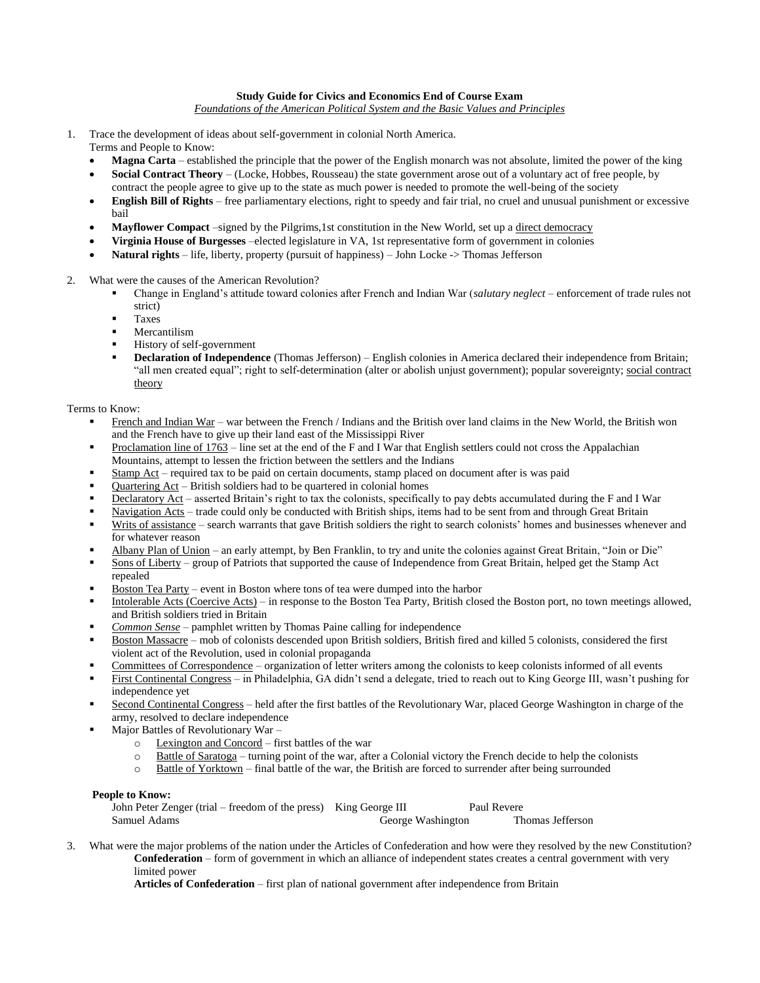# **Study Guide for Civics and Economics End of Course Exam**

*Foundations of the American Political System and the Basic Values and Principles*

- 1. Trace the development of ideas about self-government in colonial North America. Terms and People to Know:
	- **Magna Carta** established the principle that the power of the English monarch was not absolute, limited the power of the king
	- **Social Contract Theory** (Locke, Hobbes, Rousseau) the state government arose out of a voluntary act of free people, by contract the people agree to give up to the state as much power is needed to promote the well-being of the society
	- **English Bill of Rights** free parliamentary elections, right to speedy and fair trial, no cruel and unusual punishment or excessive bail
	- **Mayflower Compact** –signed by the Pilgrims,1st constitution in the New World, set up a direct democracy
	- **Virginia House of Burgesses** –elected legislature in VA, 1st representative form of government in colonies
	- **Natural rights**  life, liberty, property (pursuit of happiness) John Locke -> Thomas Jefferson
- 2. What were the causes of the American Revolution?
	- Change in England's attitude toward colonies after French and Indian War (*salutary neglect* enforcement of trade rules not strict)
	- Taxes
	- Mercantilism
	- History of self-government
	- **Declaration of Independence** (Thomas Jefferson) English colonies in America declared their independence from Britain; "all men created equal"; right to self-determination (alter or abolish unjust government); popular sovereignty; social contract theory

Terms to Know:

- French and Indian War war between the French / Indians and the British over land claims in the New World, the British won and the French have to give up their land east of the Mississippi River
- Proclamation line of 1763 line set at the end of the F and I War that English settlers could not cross the Appalachian Mountains, attempt to lessen the friction between the settlers and the Indians
- Stamp Act required tax to be paid on certain documents, stamp placed on document after is was paid
- Quartering Act British soldiers had to be quartered in colonial homes
- Declaratory Act asserted Britain's right to tax the colonists, specifically to pay debts accumulated during the F and I War
- Navigation Acts trade could only be conducted with British ships, items had to be sent from and through Great Britain
- Writs of assistance search warrants that gave British soldiers the right to search colonists' homes and businesses whenever and for whatever reason
- Albany Plan of Union an early attempt, by Ben Franklin, to try and unite the colonies against Great Britain, "Join or Die"
- Sons of Liberty group of Patriots that supported the cause of Independence from Great Britain, helped get the Stamp Act repealed
- Boston Tea Party event in Boston where tons of tea were dumped into the harbor
- Intolerable Acts (Coercive Acts) in response to the Boston Tea Party, British closed the Boston port, no town meetings allowed, and British soldiers tried in Britain
- *Common Sense* pamphlet written by Thomas Paine calling for independence
- Boston Massacre mob of colonists descended upon British soldiers, British fired and killed 5 colonists, considered the first violent act of the Revolution, used in colonial propaganda
- Committees of Correspondence organization of letter writers among the colonists to keep colonists informed of all events
- First Continental Congress in Philadelphia, GA didn't send a delegate, tried to reach out to King George III, wasn't pushing for independence yet
- Second Continental Congress held after the first battles of the Revolutionary War, placed George Washington in charge of the army, resolved to declare independence
- Major Battles of Revolutionary War
	- o Lexington and Concord first battles of the war
	- $\circ$  Battle of Saratoga turning point of the war, after a Colonial victory the French decide to help the colonists
	- o Battle of Yorktown final battle of the war, the British are forced to surrender after being surrounded

## **People to Know:**

| John Peter Zenger (trial – freedom of the press) King George III |                   | Paul Revere      |
|------------------------------------------------------------------|-------------------|------------------|
| Samuel Adams                                                     | George Washington | Thomas Jefferson |

3. What were the major problems of the nation under the Articles of Confederation and how were they resolved by the new Constitution? **Confederation** – form of government in which an alliance of independent states creates a central government with very limited power

**Articles of Confederation** – first plan of national government after independence from Britain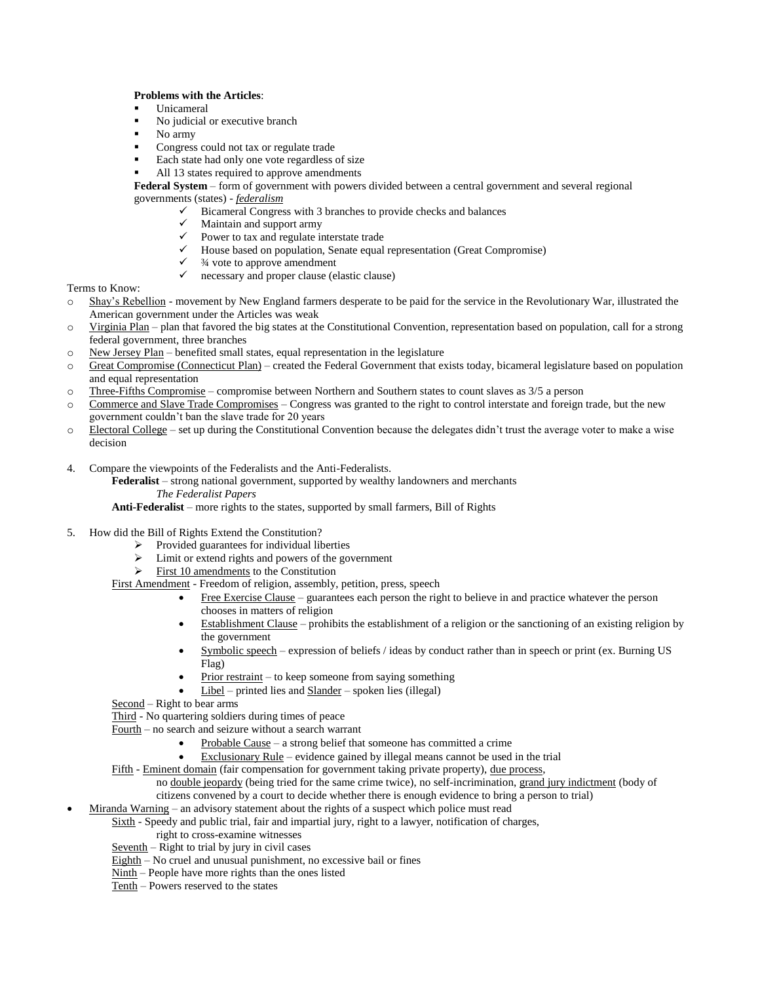# **Problems with the Articles**:

- Unicameral
- No judicial or executive branch
- No army
- Congress could not tax or regulate trade
- Each state had only one vote regardless of size
- All 13 states required to approve amendments

**Federal System** – form of government with powers divided between a central government and several regional governments (states) - *federalism*

- $\checkmark$  Bicameral Congress with 3 branches to provide checks and balances  $\checkmark$  Maintain and support army
- Maintain and support army
- $\checkmark$  Power to tax and regulate interstate trade<br> $\checkmark$  House based on population, Senate equal<br> $\checkmark$  34 vote to approve amendment
- House based on population, Senate equal representation (Great Compromise)
- ¾ vote to approve amendment
- $\checkmark$  necessary and proper clause (elastic clause)

Terms to Know:

- o Shay's Rebellion movement by New England farmers desperate to be paid for the service in the Revolutionary War, illustrated the American government under the Articles was weak
- $\circ$  Virginia Plan plan that favored the big states at the Constitutional Convention, representation based on population, call for a strong federal government, three branches
- $\circ$  New Jersey Plan benefited small states, equal representation in the legislature
- o Great Compromise (Connecticut Plan) created the Federal Government that exists today, bicameral legislature based on population and equal representation
- $\circ$  Three-Fifths Compromise compromise between Northern and Southern states to count slaves as 3/5 a person
- o Commerce and Slave Trade Compromises Congress was granted to the right to control interstate and foreign trade, but the new government couldn't ban the slave trade for 20 years
- o Electoral College set up during the Constitutional Convention because the delegates didn't trust the average voter to make a wise decision
- 4. Compare the viewpoints of the Federalists and the Anti-Federalists.
	- **Federalist**  strong national government, supported by wealthy landowners and merchants
		- *The Federalist Papers*

**Anti-Federalist** – more rights to the states, supported by small farmers, Bill of Rights

- 5. How did the Bill of Rights Extend the Constitution?
	- Provided guarantees for individual liberties
	- $\triangleright$  Limit or extend rights and powers of the government
	- $\triangleright$  First 10 amendments to the Constitution

First Amendment - Freedom of religion, assembly, petition, press, speech

- Free Exercise Clause guarantees each person the right to believe in and practice whatever the person chooses in matters of religion
- Establishment Clause prohibits the establishment of a religion or the sanctioning of an existing religion by the government
- Symbolic speech expression of beliefs / ideas by conduct rather than in speech or print (ex. Burning US Flag)
- Prior restraint to keep someone from saying something
- Libel printed lies and Slander spoken lies (illegal)
- Second Right to bear arms

Third - No quartering soldiers during times of peace

Fourth – no search and seizure without a search warrant

- Probable Cause a strong belief that someone has committed a crime
- Exclusionary Rule evidence gained by illegal means cannot be used in the trial

Fifth - Eminent domain (fair compensation for government taking private property), due process,

no double jeopardy (being tried for the same crime twice), no self-incrimination, grand jury indictment (body of citizens convened by a court to decide whether there is enough evidence to bring a person to trial)

Miranda Warning – an advisory statement about the rights of a suspect which police must read

Sixth - Speedy and public trial, fair and impartial jury, right to a lawyer, notification of charges,

- right to cross-examine witnesses
- Seventh Right to trial by jury in civil cases
- $\overline{\text{Eighth}}$  No cruel and unusual punishment, no excessive bail or fines
- Ninth People have more rights than the ones listed
- Tenth Powers reserved to the states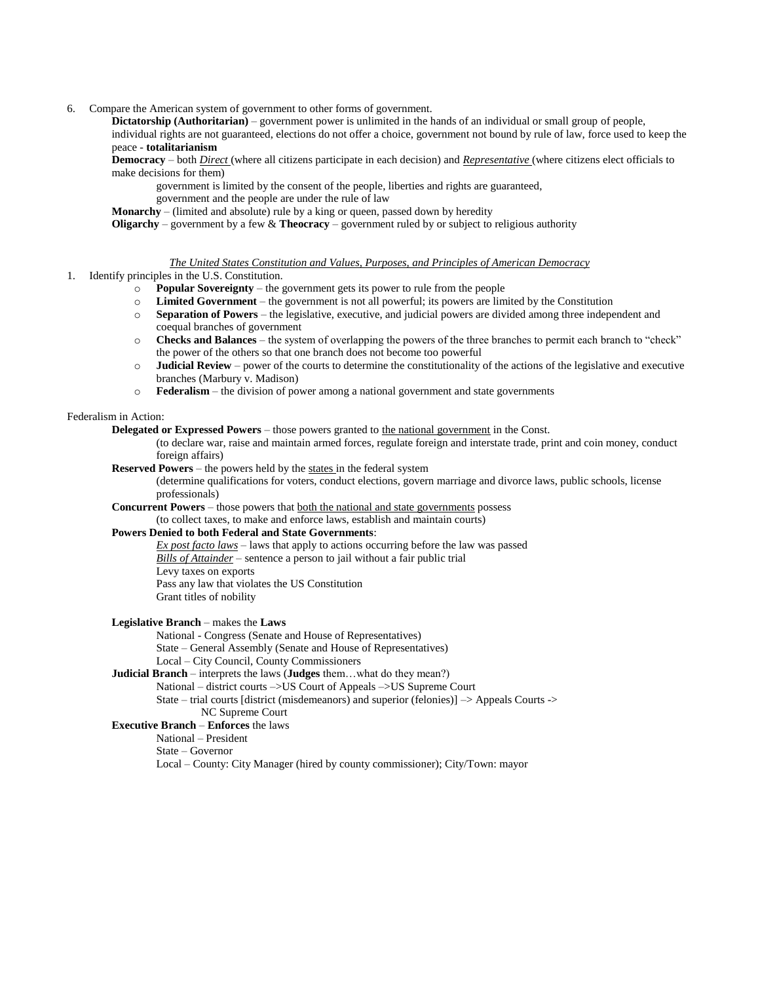6. Compare the American system of government to other forms of government.

**Dictatorship (Authoritarian)** – government power is unlimited in the hands of an individual or small group of people, individual rights are not guaranteed, elections do not offer a choice, government not bound by rule of law, force used to keep the peace - **totalitarianism**

**Democracy** – both *Direct* (where all citizens participate in each decision) and *Representative* (where citizens elect officials to make decisions for them)

government is limited by the consent of the people, liberties and rights are guaranteed,

government and the people are under the rule of law

**Monarchy** – (limited and absolute) rule by a king or queen, passed down by heredity

**Oligarchy** – government by a few & **Theocracy** – government ruled by or subject to religious authority

*The United States Constitution and Values, Purposes, and Principles of American Democracy*

- 1. Identify principles in the U.S. Constitution.
	- o **Popular Sovereignty** the government gets its power to rule from the people
	- o **Limited Government** the government is not all powerful; its powers are limited by the Constitution
	- o **Separation of Powers** the legislative, executive, and judicial powers are divided among three independent and coequal branches of government
	- o **Checks and Balances** the system of overlapping the powers of the three branches to permit each branch to "check" the power of the others so that one branch does not become too powerful
	- o **Judicial Review** power of the courts to determine the constitutionality of the actions of the legislative and executive branches (Marbury v. Madison)
	- o **Federalism** the division of power among a national government and state governments

## Federalism in Action:

**Delegated or Expressed Powers** – those powers granted to the national government in the Const.

(to declare war, raise and maintain armed forces, regulate foreign and interstate trade, print and coin money, conduct foreign affairs)

**Reserved Powers** – the powers held by the states in the federal system

(determine qualifications for voters, conduct elections, govern marriage and divorce laws, public schools, license professionals)

**Concurrent Powers** – those powers that <u>both the national and state governments</u> possess

(to collect taxes, to make and enforce laws, establish and maintain courts)

# **Powers Denied to both Federal and State Governments**:

*Ex post facto laws* – laws that apply to actions occurring before the law was passed *Bills of Attainder* – sentence a person to jail without a fair public trial Levy taxes on exports Pass any law that violates the US Constitution Grant titles of nobility

## **Legislative Branch** – makes the **Laws**

National - Congress (Senate and House of Representatives) State – General Assembly (Senate and House of Representatives) Local – City Council, County Commissioners

# **Judicial Branch** – interprets the laws (**Judges** them…what do they mean?)

National – district courts –>US Court of Appeals –>US Supreme Court

State – trial courts [district (misdemeanors) and superior (felonies)] –> Appeals Courts -> NC Supreme Court

## **Executive Branch** – **Enforces** the laws

National – President

State – Governor

Local – County: City Manager (hired by county commissioner); City/Town: mayor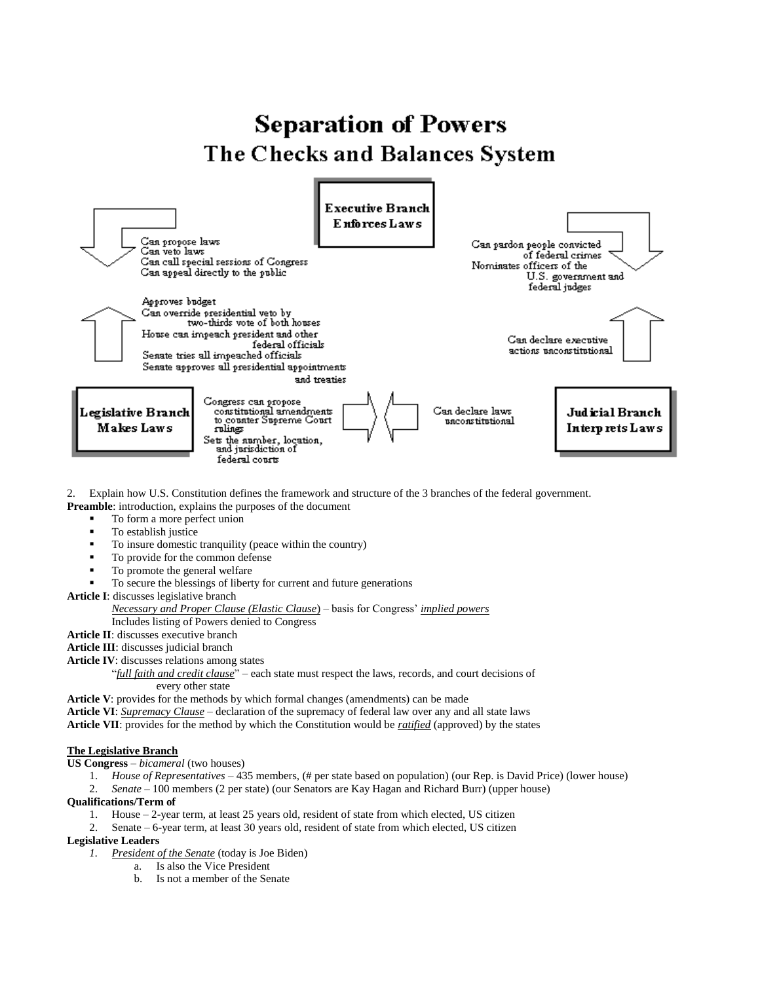# **Separation of Powers** The Checks and Balances System



2. Explain how U.S. Constitution defines the framework and structure of the 3 branches of the federal government.

- **Preamble**: introduction, explains the purposes of the document
	- To form a more perfect union
	- To establish justice
	- To insure domestic tranquility (peace within the country)
	- To provide for the common defense
	- To promote the general welfare
		- To secure the blessings of liberty for current and future generations

**Article I**: discusses legislative branch

## *Necessary and Proper Clause (Elastic Clause*) – basis for Congress' *implied powers*

Includes listing of Powers denied to Congress

**Article II**: discusses executive branch

**Article III**: discusses judicial branch

**Article IV**: discusses relations among states

"*full faith and credit clause*" – each state must respect the laws, records, and court decisions of every other state

**Article V**: provides for the methods by which formal changes (amendments) can be made

**Article VI**: *Supremacy Clause* – declaration of the supremacy of federal law over any and all state laws

**Article VII**: provides for the method by which the Constitution would be *ratified* (approved) by the states

# **The Legislative Branch**

**US Congress** – *bicameral* (two houses)

- 1. *House of Representatives* 435 members, (# per state based on population) (our Rep. is David Price) (lower house)
- 2. *Senate* 100 members (2 per state) (our Senators are Kay Hagan and Richard Burr) (upper house)

## **Qualifications/Term of**

- 1. House 2-year term, at least 25 years old, resident of state from which elected, US citizen
- 2. Senate 6-year term, at least 30 years old, resident of state from which elected, US citizen

## **Legislative Leaders**

- *1. President of the Senate* (today is Joe Biden)
	- a. Is also the Vice President
	- b. Is not a member of the Senate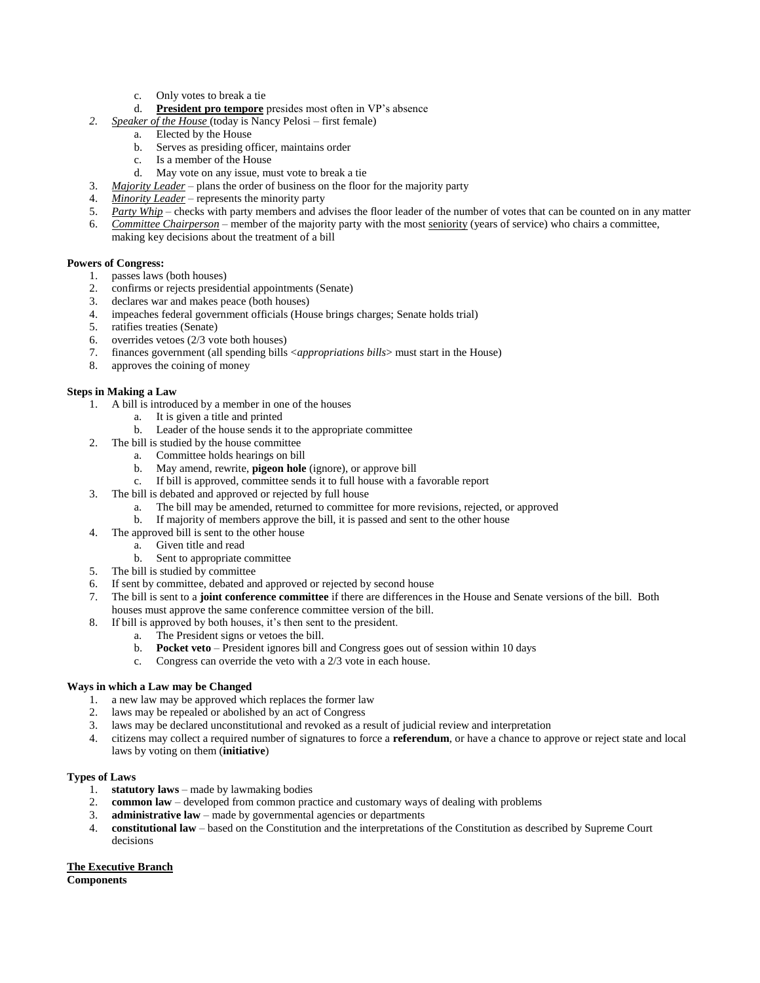- c. Only votes to break a tie
- d. **President pro tempore** presides most often in VP's absence
- *2. Speaker of the House* (today is Nancy Pelosi first female)
	- a. Elected by the House
		- b. Serves as presiding officer, maintains order
		- c. Is a member of the House
		- d. May vote on any issue, must vote to break a tie
- 3. *Majority Leader* plans the order of business on the floor for the majority party
- 4. *Minority Leader* represents the minority party
- 5. *Party Whip* checks with party members and advises the floor leader of the number of votes that can be counted on in any matter
- 6. *Committee Chairperson* member of the majority party with the most seniority (years of service) who chairs a committee, making key decisions about the treatment of a bill

## **Powers of Congress:**

- 1. passes laws (both houses)
- 2. confirms or rejects presidential appointments (Senate)
- 3. declares war and makes peace (both houses)
- 4. impeaches federal government officials (House brings charges; Senate holds trial)
- 5. ratifies treaties (Senate)
- 6. overrides vetoes (2/3 vote both houses)
- 7. finances government (all spending bills <*appropriations bills*> must start in the House)
- 8. approves the coining of money

# **Steps in Making a Law**

- 1. A bill is introduced by a member in one of the houses
	- a. It is given a title and printed
	- b. Leader of the house sends it to the appropriate committee
- 2. The bill is studied by the house committee
	- a. Committee holds hearings on bill
	- b. May amend, rewrite, **pigeon hole** (ignore), or approve bill
	- c. If bill is approved, committee sends it to full house with a favorable report
- 3. The bill is debated and approved or rejected by full house
	- a. The bill may be amended, returned to committee for more revisions, rejected, or approved
	- b. If majority of members approve the bill, it is passed and sent to the other house
- 4. The approved bill is sent to the other house
	- a. Given title and read
	- b. Sent to appropriate committee
- 5. The bill is studied by committee
- 6. If sent by committee, debated and approved or rejected by second house
- 7. The bill is sent to a **joint conference committee** if there are differences in the House and Senate versions of the bill. Both houses must approve the same conference committee version of the bill.
- 8. If bill is approved by both houses, it's then sent to the president.
	-
	- a. The President signs or vetoes the bill.<br>b. **Pocket veto** President ignores hill a **Pocket veto** – President ignores bill and Congress goes out of session within 10 days
	- c. Congress can override the veto with a 2/3 vote in each house.

# **Ways in which a Law may be Changed**

- 1. a new law may be approved which replaces the former law
- 2. laws may be repealed or abolished by an act of Congress
- 3. laws may be declared unconstitutional and revoked as a result of judicial review and interpretation
- 4. citizens may collect a required number of signatures to force a **referendum**, or have a chance to approve or reject state and local laws by voting on them (**initiative**)

## **Types of Laws**

- 1. **statutory laws** made by lawmaking bodies
- 2. **common law** developed from common practice and customary ways of dealing with problems
- 3. **administrative law** made by governmental agencies or departments
- 4. **constitutional law** based on the Constitution and the interpretations of the Constitution as described by Supreme Court decisions

## **The Executive Branch**

**Components**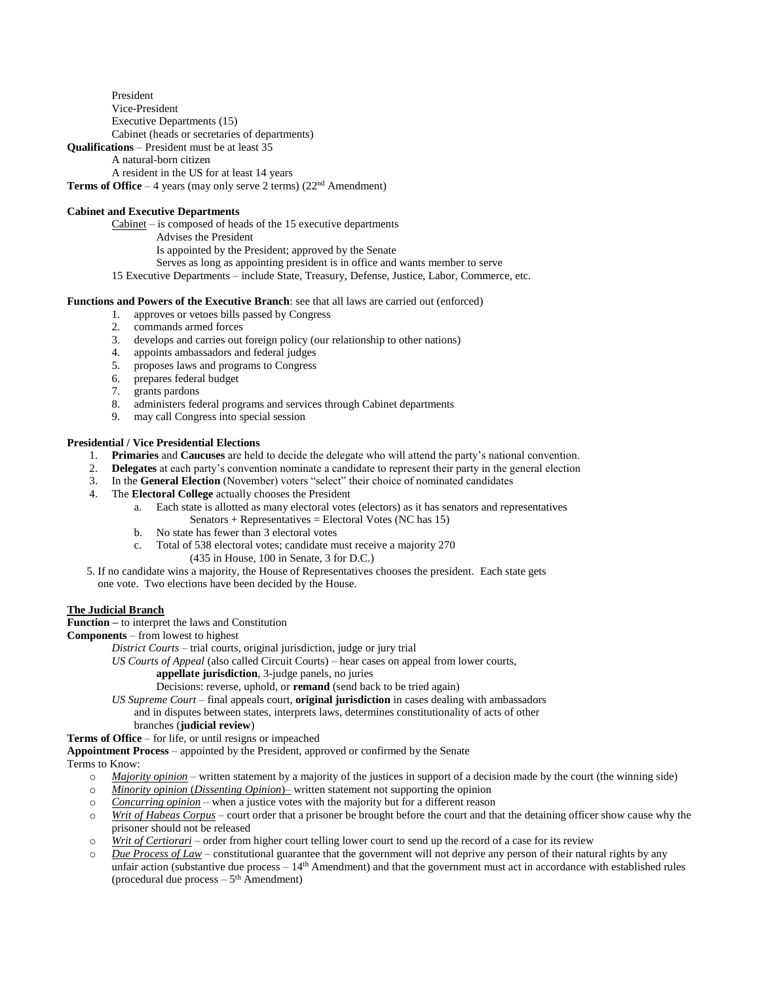President Vice-President Executive Departments (15) Cabinet (heads or secretaries of departments)

**Qualifications** – President must be at least 35

A natural-born citizen

A resident in the US for at least 14 years

**Terms of Office** – 4 years (may only serve 2 terms) (22<sup>nd</sup> Amendment)

# **Cabinet and Executive Departments**

 $Cabinet - is composed of heads of the 15 executive departments$ 

Advises the President

Is appointed by the President; approved by the Senate

Serves as long as appointing president is in office and wants member to serve

15 Executive Departments – include State, Treasury, Defense, Justice, Labor, Commerce, etc.

## **Functions and Powers of the Executive Branch**: see that all laws are carried out (enforced)

- 1. approves or vetoes bills passed by Congress
- 2. commands armed forces
- 3. develops and carries out foreign policy (our relationship to other nations)
- 4. appoints ambassadors and federal judges
- 5. proposes laws and programs to Congress
- 6. prepares federal budget
- 7. grants pardons
- 8. administers federal programs and services through Cabinet departments
- 9. may call Congress into special session

# **Presidential / Vice Presidential Elections**

- 1. **Primaries** and **Caucuses** are held to decide the delegate who will attend the party's national convention.
- 2. **Delegates** at each party's convention nominate a candidate to represent their party in the general election
- 3. In the **General Election** (November) voters "select" their choice of nominated candidates
- 4. The **Electoral College** actually chooses the President
	- a. Each state is allotted as many electoral votes (electors) as it has senators and representatives Senators + Representatives = Electoral Votes (NC has  $15$ )
		- b. No state has fewer than 3 electoral votes
		- c. Total of 538 electoral votes; candidate must receive a majority 270 (435 in House, 100 in Senate, 3 for D.C.)
- 5. If no candidate wins a majority, the House of Representatives chooses the president. Each state gets one vote. Two elections have been decided by the House.

# **The Judicial Branch**

**Function –** to interpret the laws and Constitution

**Components** – from lowest to highest

*District Courts* – trial courts, original jurisdiction, judge or jury trial

*US Courts of Appeal* (also called Circuit Courts) – hear cases on appeal from lower courts,

## **appellate jurisdiction**, 3-judge panels, no juries

Decisions: reverse, uphold, or **remand** (send back to be tried again)

*US Supreme Court* – final appeals court, **original jurisdiction** in cases dealing with ambassadors and in disputes between states, interprets laws, determines constitutionality of acts of other branches (**judicial review**)

**Terms of Office** – for life, or until resigns or impeached

**Appointment Process** – appointed by the President, approved or confirmed by the Senate

Terms to Know:

- o *Majority opinion* written statement by a majority of the justices in support of a decision made by the court (the winning side)
- o *Minority opinion* (*Dissenting Opinion*)– written statement not supporting the opinion
- o *Concurring opinion* when a justice votes with the majority but for a different reason
- o *Writ of Habeas Corpus* court order that a prisoner be brought before the court and that the detaining officer show cause why the prisoner should not be released
- o *Writ of Certiorari* order from higher court telling lower court to send up the record of a case for its review
- o *Due Process of Law* constitutional guarantee that the government will not deprive any person of their natural rights by any unfair action (substantive due process – 14<sup>th</sup> Amendment) and that the government must act in accordance with established rules (procedural due process  $-5<sup>th</sup>$  Amendment)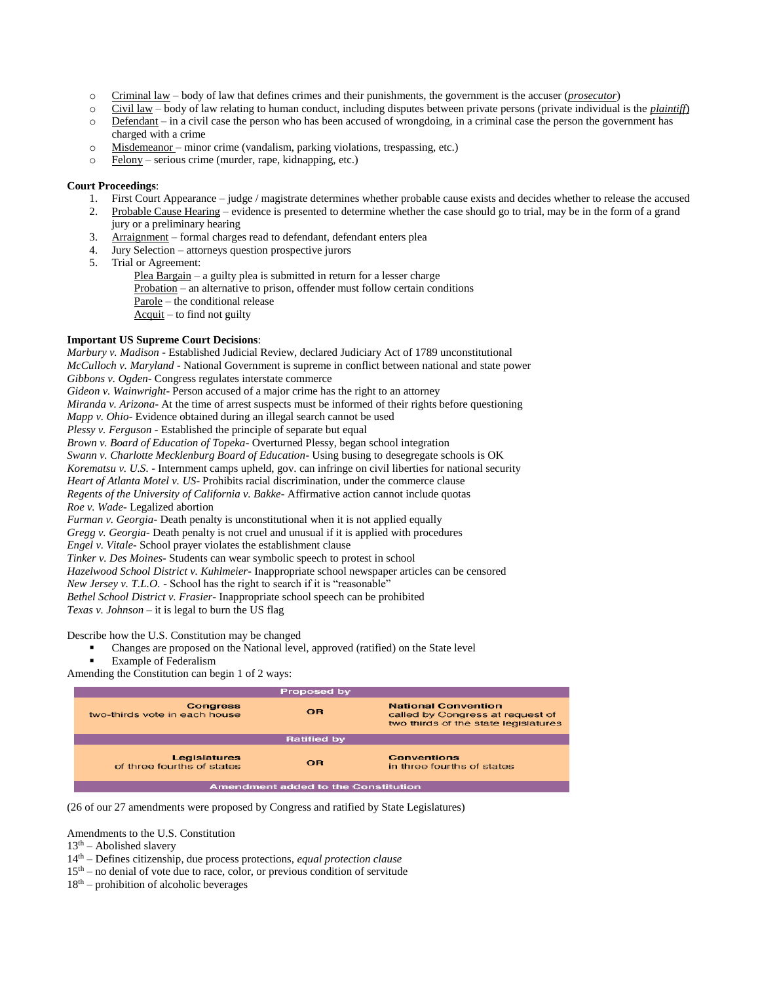- o Criminal law body of law that defines crimes and their punishments, the government is the accuser (*prosecutor*)
- o Civil law body of law relating to human conduct, including disputes between private persons (private individual is the *plaintiff*)
- o Defendant in a civil case the person who has been accused of wrongdoing, in a criminal case the person the government has charged with a crime
- o Misdemeanor minor crime (vandalism, parking violations, trespassing, etc.)
- o Felony serious crime (murder, rape, kidnapping, etc.)

## **Court Proceedings**:

- 1. First Court Appearance judge / magistrate determines whether probable cause exists and decides whether to release the accused
- 2. Probable Cause Hearing evidence is presented to determine whether the case should go to trial, may be in the form of a grand jury or a preliminary hearing
- 3. Arraignment formal charges read to defendant, defendant enters plea
- 4. Jury Selection attorneys question prospective jurors
- 5. Trial or Agreement:

Plea Bargain – a guilty plea is submitted in return for a lesser charge Probation – an alternative to prison, offender must follow certain conditions Parole – the conditional release Acquit – to find not guilty

## **Important US Supreme Court Decisions**:

*Marbury v. Madison -* Established Judicial Review, declared Judiciary Act of 1789 unconstitutional *McCulloch v. Maryland -* National Government is supreme in conflict between national and state power *Gibbons v. Ogden-* Congress regulates interstate commerce *Gideon v. Wainwright-* Person accused of a major crime has the right to an attorney *Miranda v. Arizona-* At the time of arrest suspects must be informed of their rights before questioning *Mapp v. Ohio-* Evidence obtained during an illegal search cannot be used *Plessy v. Ferguson -* Established the principle of separate but equal *Brown v. Board of Education of Topeka-* Overturned Plessy, began school integration *Swann v. Charlotte Mecklenburg Board of Education-* Using busing to desegregate schools is OK *Korematsu v. U.S. -* Internment camps upheld, gov. can infringe on civil liberties for national security *Heart of Atlanta Motel v. US-* Prohibits racial discrimination, under the commerce clause *Regents of the University of California v. Bakke-* Affirmative action cannot include quotas *Roe v. Wade-* Legalized abortion *Furman v. Georgia-* Death penalty is unconstitutional when it is not applied equally *Gregg v. Georgia-* Death penalty is not cruel and unusual if it is applied with procedures *Engel v. Vitale-* School prayer violates the establishment clause *Tinker v. Des Moines-* Students can wear symbolic speech to protest in school

*Hazelwood School District v. Kuhlmeier-* Inappropriate school newspaper articles can be censored

*New Jersey v. T.L.O.* - School has the right to search if it is "reasonable"

*Bethel School District v. Frasier-* Inappropriate school speech can be prohibited

*Texas v. Johnson* – it is legal to burn the US flag

Describe how the U.S. Constitution may be changed

Changes are proposed on the National level, approved (ratified) on the State level

Example of Federalism

Amending the Constitution can begin 1 of 2 ways:

| <b>Proposed by</b>                                |           |                                                                                                        |  |  |
|---------------------------------------------------|-----------|--------------------------------------------------------------------------------------------------------|--|--|
| <b>Congress</b><br>two-thirds vote in each house. | <b>OR</b> | <b>National Convention</b><br>called by Congress at request of<br>two thirds of the state legislatures |  |  |
| <b>Ratified by</b>                                |           |                                                                                                        |  |  |
| <b>Legislatures</b><br>of three fourths of states | <b>OR</b> | <b>Conventions</b><br>in three fourths of states                                                       |  |  |
| <b>Amendment added to the Constitution</b>        |           |                                                                                                        |  |  |

(26 of our 27 amendments were proposed by Congress and ratified by State Legislatures)

Amendments to the U.S. Constitution

- $13<sup>th</sup>$  Abolished slavery
- 14th Defines citizenship, due process protections, *equal protection clause*
- $15<sup>th</sup>$  no denial of vote due to race, color, or previous condition of servitude
- $18<sup>th</sup>$  prohibition of alcoholic beverages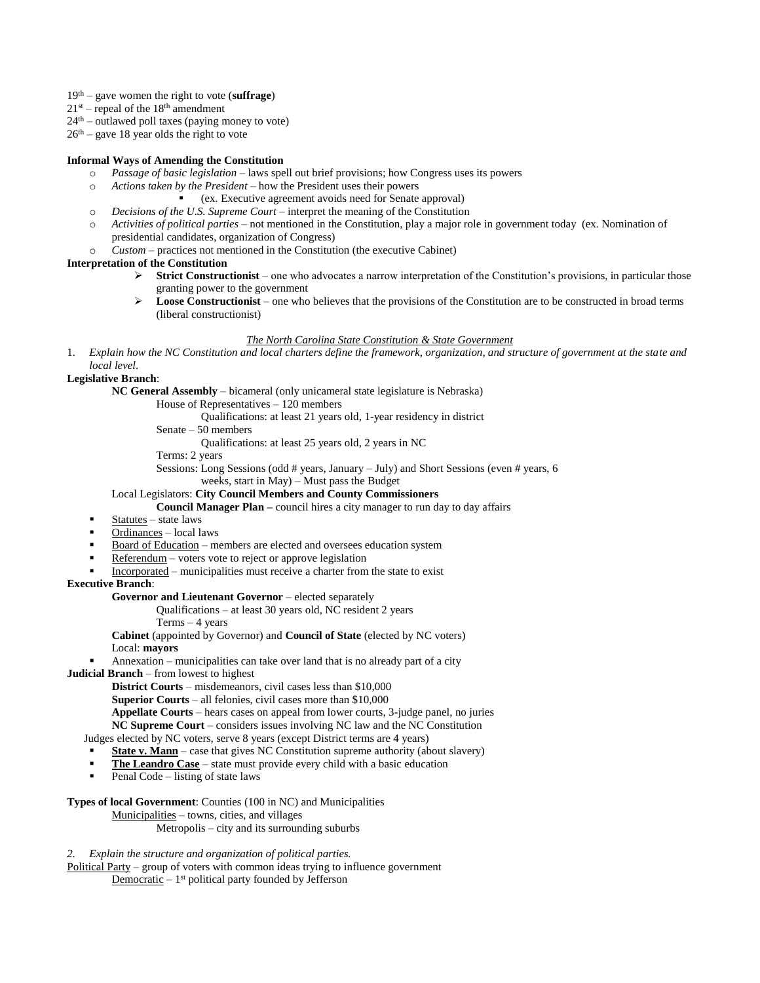- 19th gave women the right to vote (**suffrage**)
- $21^{st}$  repeal of the  $18^{th}$  amendment
- $24<sup>th</sup>$  outlawed poll taxes (paying money to vote)

 $26<sup>th</sup>$  – gave 18 year olds the right to vote

## **Informal Ways of Amending the Constitution**

- o *Passage of basic legislation* laws spell out brief provisions; how Congress uses its powers
- o *Actions taken by the President* how the President uses their powers
	- (ex. Executive agreement avoids need for Senate approval)
- o *Decisions of the U.S. Supreme Court* interpret the meaning of the Constitution
- o *Activities of political parties* not mentioned in the Constitution, play a major role in government today (ex. Nomination of presidential candidates, organization of Congress)
- o *Custom* practices not mentioned in the Constitution (the executive Cabinet)

# **Interpretation of the Constitution**

- $\triangleright$  **Strict Constructionist** one who advocates a narrow interpretation of the Constitution's provisions, in particular those granting power to the government
- $\triangleright$  **Loose Constructionist** one who believes that the provisions of the Constitution are to be constructed in broad terms (liberal constructionist)

## *The North Carolina State Constitution & State Government*

1. *Explain how the NC Constitution and local charters define the framework, organization, and structure of government at the state and local level*.

## **Legislative Branch**:

**NC General Assembly** – bicameral (only unicameral state legislature is Nebraska)

House of Representatives – 120 members

Qualifications: at least 21 years old, 1-year residency in district

Senate – 50 members

Qualifications: at least 25 years old, 2 years in NC

Terms: 2 years

Sessions: Long Sessions (odd # years, January – July) and Short Sessions (even # years, 6 weeks, start in May) – Must pass the Budget

#### Local Legislators: **City Council Members and County Commissioners**

**Council Manager Plan –** council hires a city manager to run day to day affairs

- Statutes state laws
- Ordinances local laws
- Board of Education members are elected and oversees education system
- Referendum voters vote to reject or approve legislation
- Incorporated municipalities must receive a charter from the state to exist

## **Executive Branch**:

## **Governor and Lieutenant Governor** – elected separately

Qualifications – at least 30 years old, NC resident 2 years

Terms – 4 years

**Cabinet** (appointed by Governor) and **Council of State** (elected by NC voters) Local: **mayors**

Annexation – municipalities can take over land that is no already part of a city

**Judicial Branch** – from lowest to highest

**District Courts** – misdemeanors, civil cases less than \$10,000

**Superior Courts** – all felonies, civil cases more than \$10,000

**Appellate Courts** – hears cases on appeal from lower courts, 3-judge panel, no juries

**NC Supreme Court** – considers issues involving NC law and the NC Constitution

Judges elected by NC voters, serve 8 years (except District terms are 4 years)

- **State v. Mann** case that gives NC Constitution supreme authority (about slavery)
- **The Leandro Case** state must provide every child with a basic education
- Penal Code listing of state laws

## **Types of local Government**: Counties (100 in NC) and Municipalities

Municipalities – towns, cities, and villages

Metropolis – city and its surrounding suburbs

## *2. Explain the structure and organization of political parties.*

Political Party – group of voters with common ideas trying to influence government  $D$ emocratic  $-1$ <sup>st</sup> political party founded by Jefferson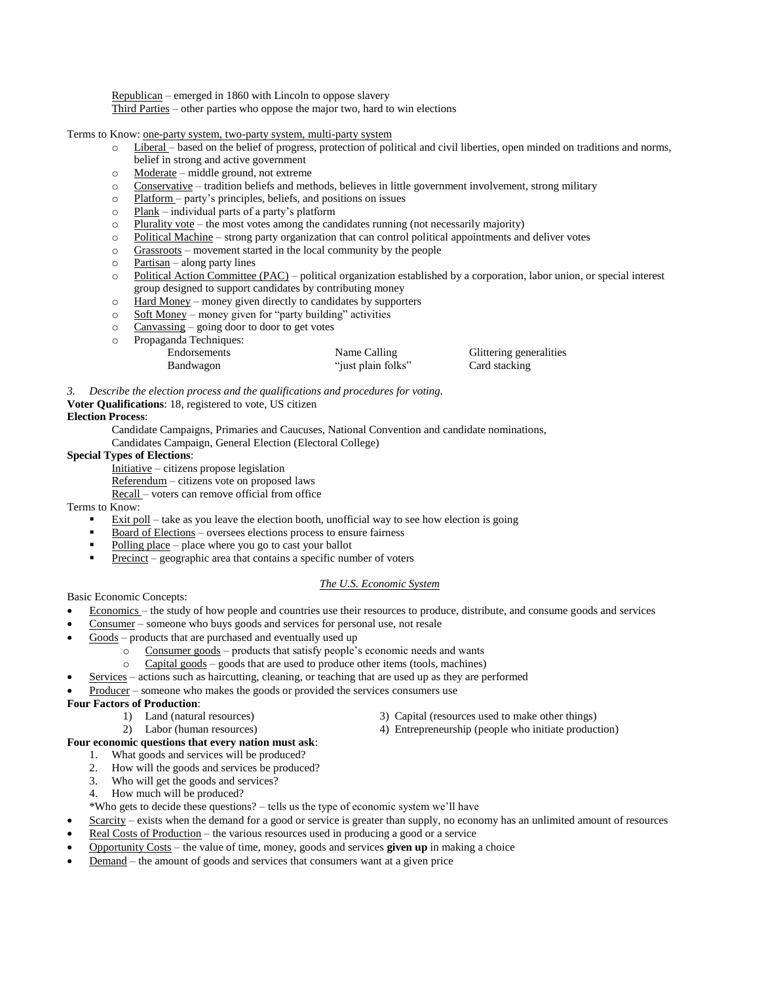Republican – emerged in 1860 with Lincoln to oppose slavery Third Parties – other parties who oppose the major two, hard to win elections

Terms to Know: one-party system, two-party system, multi-party system

- o Liberal based on the belief of progress, protection of political and civil liberties, open minded on traditions and norms, belief in strong and active government
- o Moderate middle ground, not extreme
- $\circ$  Conservative tradition beliefs and methods, believes in little government involvement, strong military
- o Platform party's principles, beliefs, and positions on issues
- $\circ$  Plank individual parts of a party's platform
- $\circ$  Plurality vote the most votes among the candidates running (not necessarily majority)
- o Political Machine strong party organization that can control political appointments and deliver votes
- o Grassroots movement started in the local community by the people
- $\circ$  Partisan along party lines
- $\circ$  Political Action Committee (PAC) political organization established by a corporation, labor union, or special interest group designed to support candidates by contributing money
- o Hard Money money given directly to candidates by supporters
- $\circ$  Soft Money money given for "party building" activities
- $\circ$  Canvassing going door to door to get votes
- o Propaganda Techniques:

| $10p$ and $10p$ and $10p$ |                    |                         |
|---------------------------|--------------------|-------------------------|
| Endorsements              | Name Calling       | Glittering generalities |
| Bandwagon                 | "just plain folks" | Card stacking           |
|                           |                    |                         |

*3. Describe the election process and the qualifications and procedures for voting.*

## **Voter Qualifications**: 18, registered to vote, US citizen

# **Election Process**:

- Candidate Campaigns, Primaries and Caucuses, National Convention and candidate nominations,
- Candidates Campaign, General Election (Electoral College)

## **Special Types of Elections**:

- Initiative citizens propose legislation
- Referendum citizens vote on proposed laws
- Recall voters can remove official from office

Terms to Know:

- Exit poll take as you leave the election booth, unofficial way to see how election is going
- Board of Elections oversees elections process to ensure fairness
- Polling place place where you go to cast your ballot
- Precinct geographic area that contains a specific number of voters

# *The U.S. Economic System*

Basic Economic Concepts:

- Economics the study of how people and countries use their resources to produce, distribute, and consume goods and services
- Consumer someone who buys goods and services for personal use, not resale
- Goods products that are purchased and eventually used up
	- o Consumer goods products that satisfy people's economic needs and wants
	- o Capital goods goods that are used to produce other items (tools, machines)
	- Services actions such as haircutting, cleaning, or teaching that are used up as they are performed
- Producer someone who makes the goods or provided the services consumers use

# **Four Factors of Production**:

- 
- 
- 1) Land (natural resources) 3) Capital (resources used to make other things) 2) Labor (human resources) 4) Entrepreneurship (people who initiate product
	- 4) Entrepreneurship (people who initiate production)

# **Four economic questions that every nation must ask**:

- 1. What goods and services will be produced?
- 2. How will the goods and services be produced?
- 3. Who will get the goods and services?
- 4. How much will be produced?

\*Who gets to decide these questions? – tells us the type of economic system we'll have

- Scarcity exists when the demand for a good or service is greater than supply, no economy has an unlimited amount of resources
- Real Costs of Production the various resources used in producing a good or a service
- Opportunity Costs the value of time, money, goods and services **given up** in making a choice
- Demand the amount of goods and services that consumers want at a given price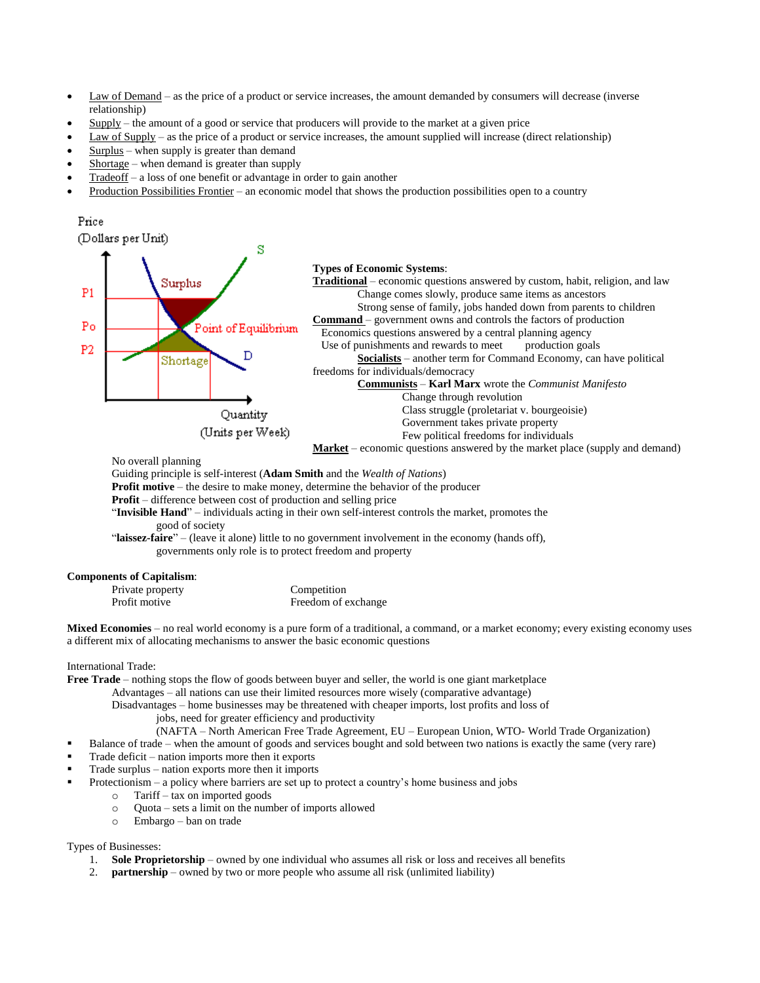- Law of Demand as the price of a product or service increases, the amount demanded by consumers will decrease (inverse relationship)
- Supply the amount of a good or service that producers will provide to the market at a given price
- Law of Supply as the price of a product or service increases, the amount supplied will increase (direct relationship)
- Surplus when supply is greater than demand
- Shortage when demand is greater than supply
- Tradeoff a loss of one benefit or advantage in order to gain another
- Production Possibilities Frontier an economic model that shows the production possibilities open to a country



No overall planning

Guiding principle is self-interest (**Adam Smith** and the *Wealth of Nations*)

- **Profit motive** the desire to make money, determine the behavior of the producer
- **Profit** difference between cost of production and selling price

"**Invisible Hand**" – individuals acting in their own self-interest controls the market, promotes the good of society

"**laissez-faire**" – (leave it alone) little to no government involvement in the economy (hands off), governments only role is to protect freedom and property

#### **Components of Capitalism**:

| Private property | Competition         |
|------------------|---------------------|
| Profit motive    | Freedom of exchange |

**Mixed Economies** – no real world economy is a pure form of a traditional, a command, or a market economy; every existing economy uses a different mix of allocating mechanisms to answer the basic economic questions

International Trade:

**Free Trade** – nothing stops the flow of goods between buyer and seller, the world is one giant marketplace

Advantages – all nations can use their limited resources more wisely (comparative advantage)

Disadvantages – home businesses may be threatened with cheaper imports, lost profits and loss of jobs, need for greater efficiency and productivity

- 
- (NAFTA North American Free Trade Agreement, EU European Union, WTO- World Trade Organization)
- Balance of trade when the amount of goods and services bought and sold between two nations is exactly the same (very rare)
- Trade deficit nation imports more then it exports
- Trade surplus nation exports more then it imports
	- Protectionism a policy where barriers are set up to protect a country's home business and jobs
		- o Tariff tax on imported goods
		- o Quota sets a limit on the number of imports allowed
		- o Embargo ban on trade

# Types of Businesses:

- 1. **Sole Proprietorship** owned by one individual who assumes all risk or loss and receives all benefits
- 2. **partnership** owned by two or more people who assume all risk (unlimited liability)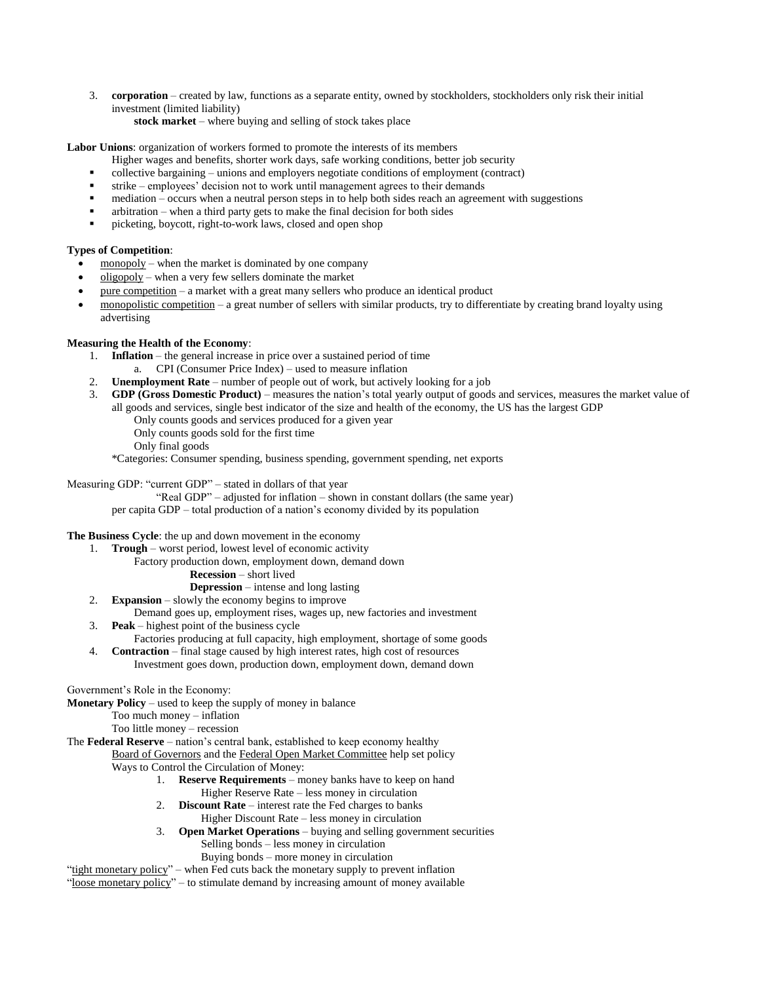3. **corporation** – created by law, functions as a separate entity, owned by stockholders, stockholders only risk their initial investment (limited liability)

**stock market** – where buying and selling of stock takes place

**Labor Unions**: organization of workers formed to promote the interests of its members

- Higher wages and benefits, shorter work days, safe working conditions, better job security
- collective bargaining unions and employers negotiate conditions of employment (contract)
- strike employees' decision not to work until management agrees to their demands
- mediation occurs when a neutral person steps in to help both sides reach an agreement with suggestions
- arbitration when a third party gets to make the final decision for both sides
- picketing, boycott, right-to-work laws, closed and open shop

# **Types of Competition**:

- $\frac{monopoly}{}$  when the market is dominated by one company
- oligopoly when a very few sellers dominate the market
- pure competition a market with a great many sellers who produce an identical product
- monopolistic competition a great number of sellers with similar products, try to differentiate by creating brand loyalty using advertising

# **Measuring the Health of the Economy**:

- 1. **Inflation** the general increase in price over a sustained period of time
	- a. CPI (Consumer Price Index) used to measure inflation
- 2. **Unemployment Rate** number of people out of work, but actively looking for a job
- 3. **GDP (Gross Domestic Product)** measures the nation's total yearly output of goods and services, measures the market value of all goods and services, single best indicator of the size and health of the economy, the US has the largest GDP
	- Only counts goods and services produced for a given year
	- Only counts goods sold for the first time
	- Only final goods

\*Categories: Consumer spending, business spending, government spending, net exports

Measuring GDP: "current GDP" – stated in dollars of that year

"Real GDP" – adjusted for inflation – shown in constant dollars (the same year) per capita GDP – total production of a nation's economy divided by its population

# **The Business Cycle**: the up and down movement in the economy

- 1. **Trough** worst period, lowest level of economic activity
	- Factory production down, employment down, demand down
		- **Recession** short lived

# **Depression** – intense and long lasting

- 2. **Expansion** slowly the economy begins to improve
- Demand goes up, employment rises, wages up, new factories and investment
- 3. **Peak** highest point of the business cycle
- Factories producing at full capacity, high employment, shortage of some goods 4. **Contraction** – final stage caused by high interest rates, high cost of resources
	- Investment goes down, production down, employment down, demand down

# Government's Role in the Economy:

- **Monetary Policy** used to keep the supply of money in balance
	- Too much money inflation
	- Too little money recession

The **Federal Reserve** – nation's central bank, established to keep economy healthy

Board of Governors and the Federal Open Market Committee help set policy Ways to Control the Circulation of Money:

- 1. **Reserve Requirements** money banks have to keep on hand Higher Reserve Rate – less money in circulation
- 2. **Discount Rate** interest rate the Fed charges to banks
	- Higher Discount Rate less money in circulation
- 3. **Open Market Operations** buying and selling government securities Selling bonds – less money in circulation Buying bonds – more money in circulation

"tight monetary policy" – when Fed cuts back the monetary supply to prevent inflation

"loose monetary policy" – to stimulate demand by increasing amount of money available